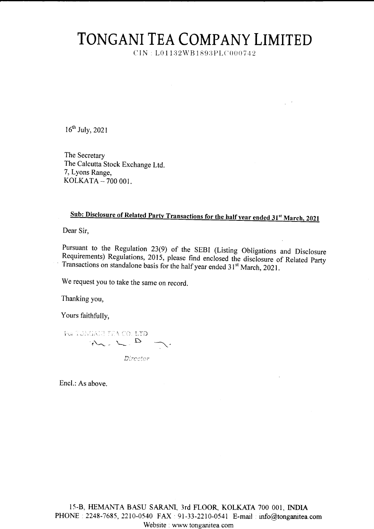## TONGANI TEA COMPANY LIMITED

CIN: L01132WB1893PLC000742

16<sup>th</sup> July, 2021

The Secretary The Calcutta Stock Exchange Ltd. 7, Lyons Range, KOLKATA - 700 001.

## Sub: Disclosure of Related Party Transactions for the half year ended 31<sup>st</sup> March, 2021

Dear Sir.

Pursuant to the Regulation 23(9) of the SEBI (Listing Obligations and Disclosure Requirements) Regulations, 2015, please find enclosed the disclosure of Related Party Transactions on standalone basis for the half year ended 31<sup>st</sup> March, 2021.

We request you to take the same on record.

Thanking you,

Yours faithfully,

For TONGALH TEA CO. LTD  $\mathcal{W} = \mathcal{L} \cdot \mathcal{D} \quad \text{and} \quad$ Director

Encl.: As above.